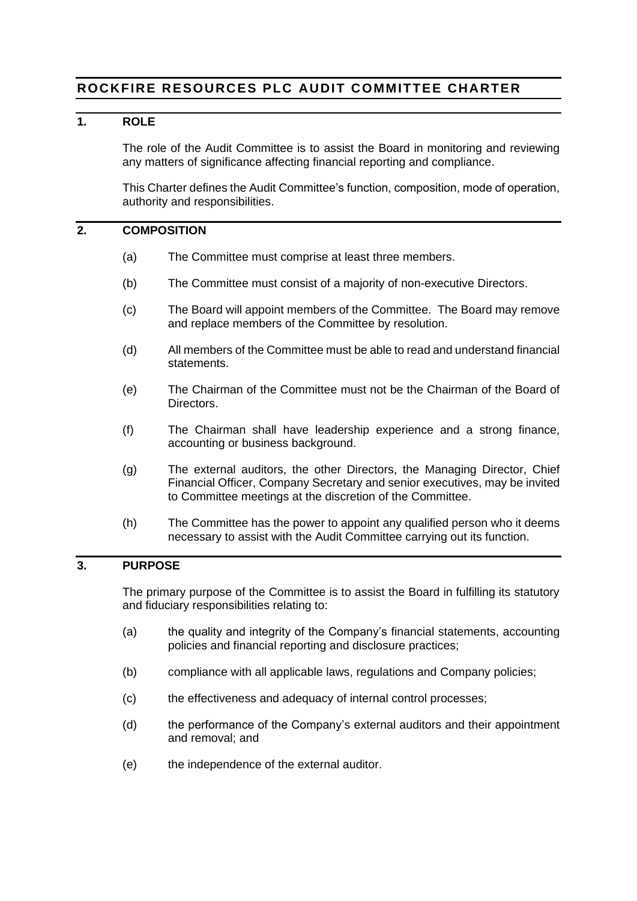# **ROCKFIRE RESOURCES PLC AUDIT COMMITTEE CHARTER**

## **1. ROLE**

The role of the Audit Committee is to assist the Board in monitoring and reviewing any matters of significance affecting financial reporting and compliance.

This Charter defines the Audit Committee's function, composition, mode of operation, authority and responsibilities.

## **2. COMPOSITION**

- (a) The Committee must comprise at least three members.
- (b) The Committee must consist of a majority of non-executive Directors.
- (c) The Board will appoint members of the Committee. The Board may remove and replace members of the Committee by resolution.
- (d) All members of the Committee must be able to read and understand financial statements.
- (e) The Chairman of the Committee must not be the Chairman of the Board of Directors.
- (f) The Chairman shall have leadership experience and a strong finance, accounting or business background.
- (g) The external auditors, the other Directors, the Managing Director, Chief Financial Officer, Company Secretary and senior executives, may be invited to Committee meetings at the discretion of the Committee.
- (h) The Committee has the power to appoint any qualified person who it deems necessary to assist with the Audit Committee carrying out its function.

## **3. PURPOSE**

The primary purpose of the Committee is to assist the Board in fulfilling its statutory and fiduciary responsibilities relating to:

- (a) the quality and integrity of the Company's financial statements, accounting policies and financial reporting and disclosure practices;
- (b) compliance with all applicable laws, regulations and Company policies;
- (c) the effectiveness and adequacy of internal control processes;
- (d) the performance of the Company's external auditors and their appointment and removal; and
- (e) the independence of the external auditor.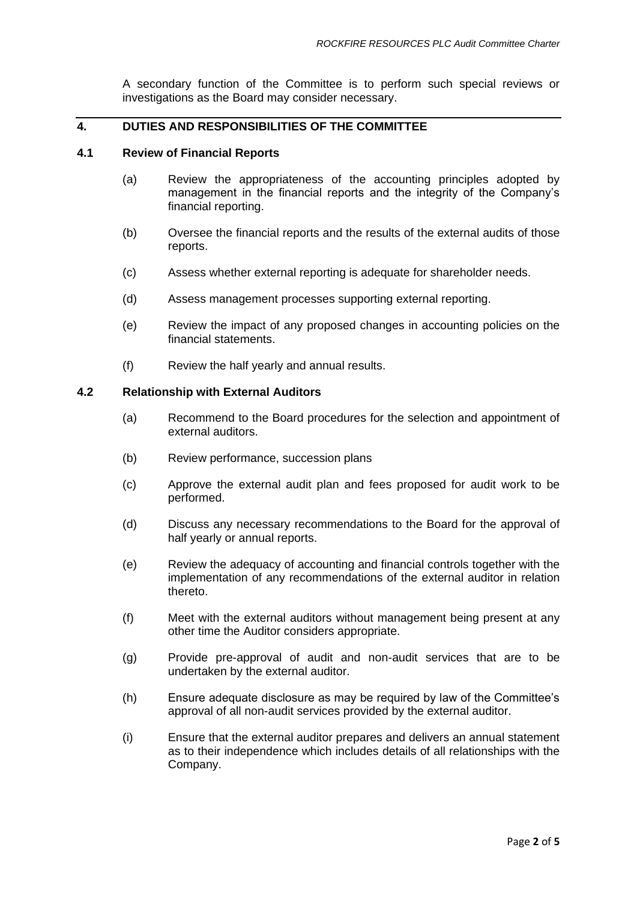A secondary function of the Committee is to perform such special reviews or investigations as the Board may consider necessary.

## **4. DUTIES AND RESPONSIBILITIES OF THE COMMITTEE**

#### **4.1 Review of Financial Reports**

- (a) Review the appropriateness of the accounting principles adopted by management in the financial reports and the integrity of the Company's financial reporting.
- (b) Oversee the financial reports and the results of the external audits of those reports.
- (c) Assess whether external reporting is adequate for shareholder needs.
- (d) Assess management processes supporting external reporting.
- (e) Review the impact of any proposed changes in accounting policies on the financial statements.
- (f) Review the half yearly and annual results.

### **4.2 Relationship with External Auditors**

- (a) Recommend to the Board procedures for the selection and appointment of external auditors.
- (b) Review performance, succession plans
- (c) Approve the external audit plan and fees proposed for audit work to be performed.
- (d) Discuss any necessary recommendations to the Board for the approval of half yearly or annual reports.
- (e) Review the adequacy of accounting and financial controls together with the implementation of any recommendations of the external auditor in relation thereto.
- (f) Meet with the external auditors without management being present at any other time the Auditor considers appropriate.
- (g) Provide pre-approval of audit and non-audit services that are to be undertaken by the external auditor.
- (h) Ensure adequate disclosure as may be required by law of the Committee's approval of all non-audit services provided by the external auditor.
- (i) Ensure that the external auditor prepares and delivers an annual statement as to their independence which includes details of all relationships with the Company.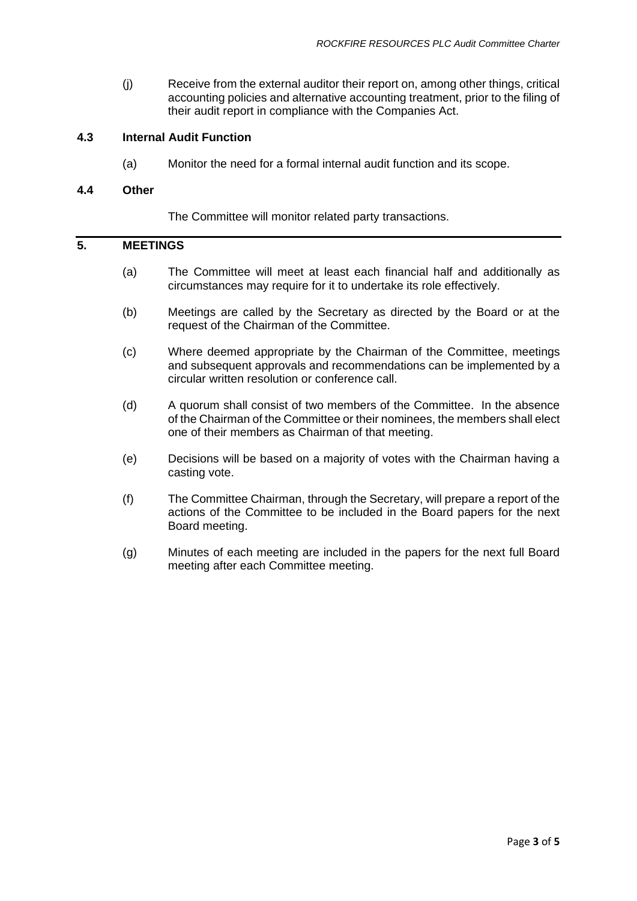(j) Receive from the external auditor their report on, among other things, critical accounting policies and alternative accounting treatment, prior to the filing of their audit report in compliance with the Companies Act.

### **4.3 Internal Audit Function**

(a) Monitor the need for a formal internal audit function and its scope.

#### **4.4 Other**

The Committee will monitor related party transactions.

## **5. MEETINGS**

- (a) The Committee will meet at least each financial half and additionally as circumstances may require for it to undertake its role effectively.
- (b) Meetings are called by the Secretary as directed by the Board or at the request of the Chairman of the Committee.
- (c) Where deemed appropriate by the Chairman of the Committee, meetings and subsequent approvals and recommendations can be implemented by a circular written resolution or conference call.
- (d) A quorum shall consist of two members of the Committee. In the absence of the Chairman of the Committee or their nominees, the members shall elect one of their members as Chairman of that meeting.
- (e) Decisions will be based on a majority of votes with the Chairman having a casting vote.
- (f) The Committee Chairman, through the Secretary, will prepare a report of the actions of the Committee to be included in the Board papers for the next Board meeting.
- (g) Minutes of each meeting are included in the papers for the next full Board meeting after each Committee meeting.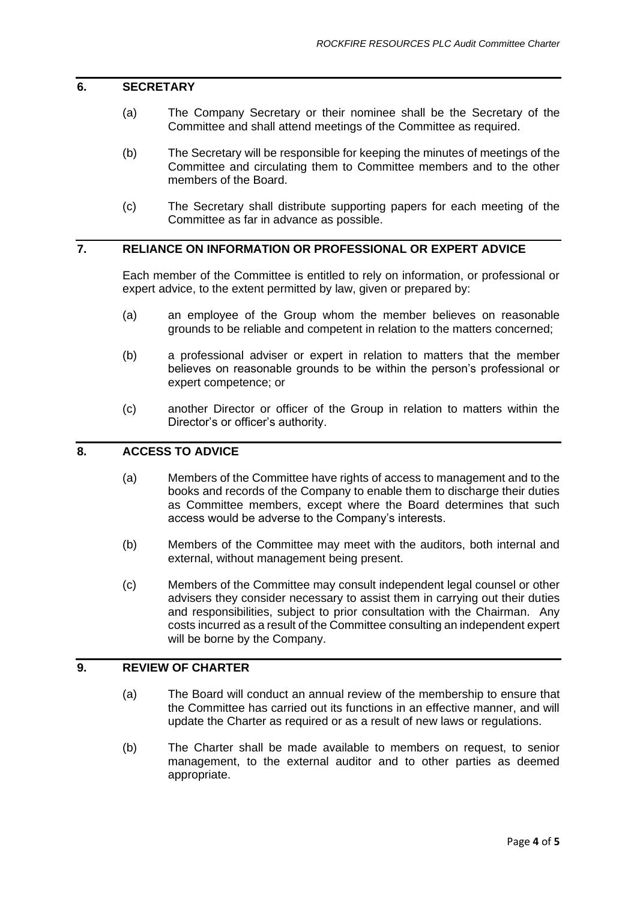#### **6. SECRETARY**

- (a) The Company Secretary or their nominee shall be the Secretary of the Committee and shall attend meetings of the Committee as required.
- (b) The Secretary will be responsible for keeping the minutes of meetings of the Committee and circulating them to Committee members and to the other members of the Board.
- (c) The Secretary shall distribute supporting papers for each meeting of the Committee as far in advance as possible.

## **7. RELIANCE ON INFORMATION OR PROFESSIONAL OR EXPERT ADVICE**

Each member of the Committee is entitled to rely on information, or professional or expert advice, to the extent permitted by law, given or prepared by:

- (a) an employee of the Group whom the member believes on reasonable grounds to be reliable and competent in relation to the matters concerned;
- (b) a professional adviser or expert in relation to matters that the member believes on reasonable grounds to be within the person's professional or expert competence; or
- (c) another Director or officer of the Group in relation to matters within the Director's or officer's authority.

## **8. ACCESS TO ADVICE**

- (a) Members of the Committee have rights of access to management and to the books and records of the Company to enable them to discharge their duties as Committee members, except where the Board determines that such access would be adverse to the Company's interests.
- (b) Members of the Committee may meet with the auditors, both internal and external, without management being present.
- (c) Members of the Committee may consult independent legal counsel or other advisers they consider necessary to assist them in carrying out their duties and responsibilities, subject to prior consultation with the Chairman. Any costs incurred as a result of the Committee consulting an independent expert will be borne by the Company.

## **9. REVIEW OF CHARTER**

- (a) The Board will conduct an annual review of the membership to ensure that the Committee has carried out its functions in an effective manner, and will update the Charter as required or as a result of new laws or regulations.
- (b) The Charter shall be made available to members on request, to senior management, to the external auditor and to other parties as deemed appropriate.